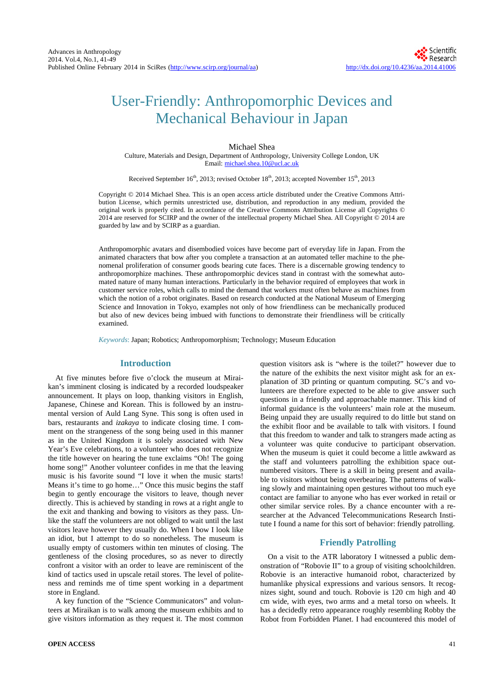# User-Friendly: Anthropomorphic Devices and Mechanical Behaviour in Japan

## Michael Shea

Culture, Materials and Design, Department of Anthropology, University College London, UK Email[: michael.shea.10@ucl.ac.uk](mailto:michael.shea.10@ucl.ac.uk)

Received September 16<sup>th</sup>, 2013; revised October 18<sup>th</sup>, 2013; accepted November 15<sup>th</sup>, 2013

Copyright © 2014 Michael Shea. This is an open access article distributed under the Creative Commons Attribution License, which permits unrestricted use, distribution, and reproduction in any medium, provided the original work is properly cited. In accordance of the Creative Commons Attribution License all Copyrights © 2014 are reserved for SCIRP and the owner of the intellectual property Michael Shea. All Copyright © 2014 are guarded by law and by SCIRP as a guardian.

Anthropomorphic avatars and disembodied voices have become part of everyday life in Japan. From the animated characters that bow after you complete a transaction at an automated teller machine to the phenomenal proliferation of consumer goods bearing cute faces. There is a discernable growing tendency to anthropomorphize machines. These anthropomorphic devices stand in contrast with the somewhat automated nature of many human interactions. Particularly in the behavior required of employees that work in customer service roles, which calls to mind the demand that workers must often behave as machines from which the notion of a robot originates. Based on research conducted at the National Museum of Emerging Science and Innovation in Tokyo, examples not only of how friendliness can be mechanically produced but also of new devices being imbued with functions to demonstrate their friendliness will be critically examined.

*Keywords*: Japan; Robotics; Anthropomorphism; Technology; Museum Education

# **Introduction**

At five minutes before five o'clock the museum at Miraikan's imminent closing is indicated by a recorded loudspeaker announcement. It plays on loop, thanking visitors in English, Japanese, Chinese and Korean. This is followed by an instrumental version of Auld Lang Syne. This song is often used in bars, restaurants and *izakaya* to indicate closing time. I comment on the strangeness of the song being used in this manner as in the United Kingdom it is solely associated with New Year's Eve celebrations, to a volunteer who does not recognize the title however on hearing the tune exclaims "Oh! The going home song!" Another volunteer confides in me that the leaving music is his favorite sound "I love it when the music starts! Means it's time to go home…" Once this music begins the staff begin to gently encourage the visitors to leave, though never directly. This is achieved by standing in rows at a right angle to the exit and thanking and bowing to visitors as they pass. Unlike the staff the volunteers are not obliged to wait until the last visitors leave however they usually do. When I bow I look like an idiot, but I attempt to do so nonetheless. The museum is usually empty of customers within ten minutes of closing. The gentleness of the closing procedures, so as never to directly confront a visitor with an order to leave are reminiscent of the kind of tactics used in upscale retail stores. The level of politeness and reminds me of time spent working in a department store in England.

A key function of the "Science Communicators" and volunteers at Miraikan is to walk among the museum exhibits and to give visitors information as they request it. The most common question visitors ask is "where is the toilet?" however due to the nature of the exhibits the next visitor might ask for an explanation of 3D printing or quantum computing. SC's and volunteers are therefore expected to be able to give answer such questions in a friendly and approachable manner. This kind of informal guidance is the volunteers' main role at the museum. Being unpaid they are usually required to do little but stand on the exhibit floor and be available to talk with visitors. I found that this freedom to wander and talk to strangers made acting as a volunteer was quite conducive to participant observation. When the museum is quiet it could become a little awkward as the staff and volunteers patrolling the exhibition space outnumbered visitors. There is a skill in being present and available to visitors without being overbearing. The patterns of walking slowly and maintaining open gestures without too much eye contact are familiar to anyone who has ever worked in retail or other similar service roles. By a chance encounter with a researcher at the Advanced Telecommunications Research Institute I found a name for this sort of behavior: friendly patrolling.

## **Friendly Patrolling**

On a visit to the ATR laboratory I witnessed a public demonstration of "Robovie II" to a group of visiting schoolchildren. Robovie is an interactive humanoid robot, characterized by humanlike physical expressions and various sensors. It recognizes sight, sound and touch. Robovie is 120 cm high and 40 cm wide, with eyes, two arms and a metal torso on wheels. It has a decidedly retro appearance roughly resembling Robby the Robot from Forbidden Planet. I had encountered this model of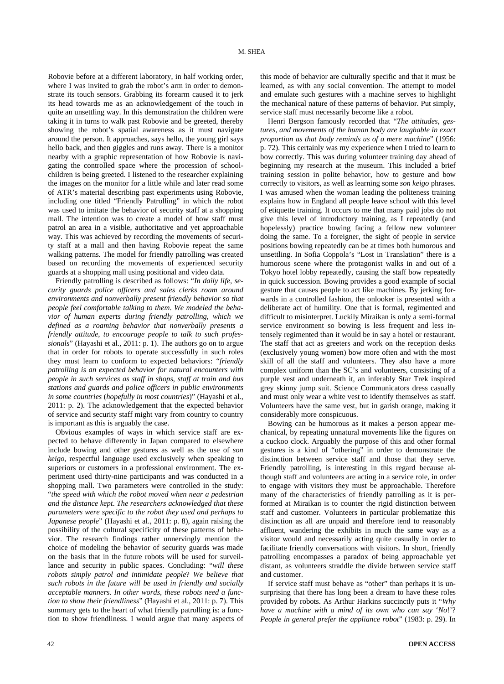Robovie before at a different laboratory, in half working order, where I was invited to grab the robot's arm in order to demonstrate its touch sensors. Grabbing its forearm caused it to jerk its head towards me as an acknowledgement of the touch in quite an unsettling way. In this demonstration the children were taking it in turns to walk past Robovie and be greeted, thereby showing the robot's spatial awareness as it must navigate around the person. It approaches, says hello, the young girl says hello back, and then giggles and runs away. There is a monitor nearby with a graphic representation of how Robovie is navigating the controlled space where the procession of schoolchildren is being greeted. I listened to the researcher explaining the images on the monitor for a little while and later read some of ATR's material describing past experiments using Robovie, including one titled "Friendly Patrolling" in which the robot was used to imitate the behavior of security staff at a shopping mall. The intention was to create a model of how staff must patrol an area in a visible, authoritative and yet approachable way. This was achieved by recording the movements of security staff at a mall and then having Robovie repeat the same walking patterns. The model for friendly patrolling was created based on recording the movements of experienced security guards at a shopping mall using positional and video data.

Friendly patrolling is described as follows: "*In daily life*, *security guards police officers and sales clerks roam around environments and nonverbally present friendly behavior so that people feel comfortable talking to them*. *We modeled the behavior of human experts during friendly patrolling*, *which we defined as a roaming behavior that nonverbally presents a friendly attitude*, *to encourage people to talk to such professionals*" (Hayashi et al., 2011: p. 1). The authors go on to argue that in order for robots to operate successfully in such roles they must learn to conform to expected behaviors: "*friendly patrolling is an expected behavior for natural encounters with people in such services as staff in shops*, *staff at train and bus stations and guards and police officers in public environments in some countries* (*hopefully in most countries*)" (Hayashi et al., 2011: p. 2). The acknowledgement that the expected behavior of service and security staff might vary from country to country is important as this is arguably the case.

Obvious examples of ways in which service staff are expected to behave differently in Japan compared to elsewhere include bowing and other gestures as well as the use of *son keigo*, respectful language used exclusively when speaking to superiors or customers in a professional environment. The experiment used thirty-nine participants and was conducted in a shopping mall. Two parameters were controlled in the study: "*the speed with which the robot moved when near a pedestrian and the distance kept*. *The researchers acknowledged that these parameters were specific to the robot they used and perhaps to Japanese people*" (Hayashi et al., 2011: p. 8), again raising the possibility of the cultural specificity of these patterns of behavior. The research findings rather unnervingly mention the choice of modeling the behavior of security guards was made on the basis that in the future robots will be used for surveillance and security in public spaces. Concluding: "*will these robots simply patrol and intimidate people*? *We believe that such robots in the future will be used in friendly and socially acceptable manners*. *In other words*, *these robots need a function to show their friendliness*" (Hayashi et al., 2011: p. 7). This summary gets to the heart of what friendly patrolling is: a function to show friendliness. I would argue that many aspects of this mode of behavior are culturally specific and that it must be learned, as with any social convention. The attempt to model and emulate such gestures with a machine serves to highlight the mechanical nature of these patterns of behavior. Put simply, service staff must necessarily become like a robot.

Henri Bergson famously recorded that "*The attitudes*, *gestures*, *and movements of the human body are laughable in exact proportion as that body reminds us of a mere machine*" (1956: p. 72). This certainly was my experience when I tried to learn to bow correctly. This was during volunteer training day ahead of beginning my research at the museum. This included a brief training session in polite behavior, how to gesture and bow correctly to visitors, as well as learning some *son keigo* phrases. I was amused when the woman leading the politeness training explains how in England all people leave school with this level of etiquette training. It occurs to me that many paid jobs do not give this level of introductory training, as I repeatedly (and hopelessly) practice bowing facing a fellow new volunteer doing the same. To a foreigner, the sight of people in service positions bowing repeatedly can be at times both humorous and unsettling. In Sofia Coppola's "Lost in Translation" there is a humorous scene where the protagonist walks in and out of a Tokyo hotel lobby repeatedly, causing the staff bow repeatedly in quick succession. Bowing provides a good example of social gesture that causes people to act like machines. By jerking forwards in a controlled fashion, the onlooker is presented with a deliberate act of humility. One that is formal, regimented and difficult to misinterpret. Luckily Miraikan is only a semi-formal service environment so bowing is less frequent and less intensely regimented than it would be in say a hotel or restaurant. The staff that act as greeters and work on the reception desks (exclusively young women) bow more often and with the most skill of all the staff and volunteers. They also have a more complex uniform than the SC's and volunteers, consisting of a purple vest and underneath it, an inferably Star Trek inspired grey skinny jump suit. Science Communicators dress casually and must only wear a white vest to identify themselves as staff. Volunteers have the same vest, but in garish orange, making it considerably more conspicuous.

Bowing can be humorous as it makes a person appear mechanical, by repeating unnatural movements like the figures on a cuckoo clock. Arguably the purpose of this and other formal gestures is a kind of "othering" in order to demonstrate the distinction between service staff and those that they serve. Friendly patrolling, is interesting in this regard because although staff and volunteers are acting in a service role, in order to engage with visitors they must be approachable. Therefore many of the characteristics of friendly patrolling as it is performed at Miraikan is to counter the rigid distinction between staff and customer. Volunteers in particular problematize this distinction as all are unpaid and therefore tend to reasonably affluent, wandering the exhibits in much the same way as a visitor would and necessarily acting quite casually in order to facilitate friendly conversations with visitors. In short, friendly patrolling encompasses a paradox of being approachable yet distant, as volunteers straddle the divide between service staff and customer.

If service staff must behave as "other" than perhaps it is unsurprising that there has long been a dream to have these roles provided by robots. As Arthur Harkins succinctly puts it "*Why have a machine with a mind of its own who can say* '*No*!'? *People in general prefer the appliance robot*" (1983: p. 29). In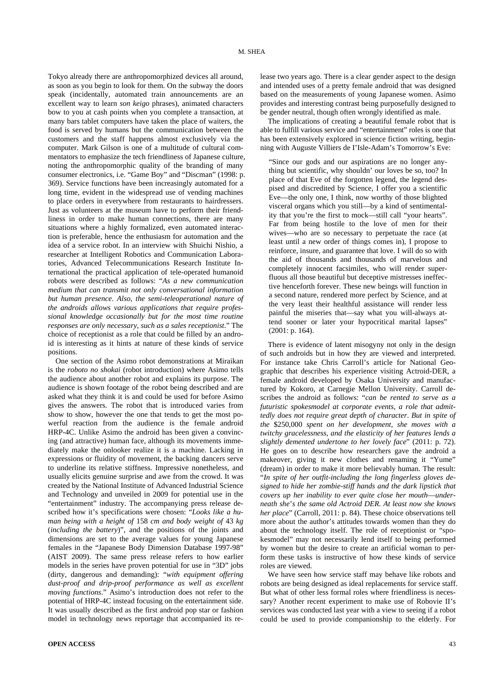Tokyo already there are anthropomorphized devices all around, as soon as you begin to look for them. On the subway the doors speak (incidentally, automated train announcements are an excellent way to learn *son keigo* phrases), animated characters bow to you at cash points when you complete a transaction, at many bars tablet computers have taken the place of waiters, the food is served by humans but the communication between the customers and the staff happens almost exclusively via the computer. Mark Gilson is one of a multitude of cultural commentators to emphasize the tech friendliness of Japanese culture, noting the anthropomorphic quality of the branding of many consumer electronics, i.e. "Game Boy" and "Discman" (1998: p. 369). Service functions have been increasingly automated for a long time, evident in the widespread use of vending machines to place orders in everywhere from restaurants to hairdressers. Just as volunteers at the museum have to perform their friendliness in order to make human connections, there are many situations where a highly formalized, even automated interaction is preferable, hence the enthusiasm for automation and the idea of a service robot. In an interview with Shuichi Nishio, a researcher at Intelligent Robotics and Communication Laboratories, Advanced Telecommunications Research Institute International the practical application of tele-operated humanoid robots were described as follows: "*As a new communication medium that can transmit not only conversational information but human presence*. *Also*, *the semi-teleoperational nature of the androids allows various applications that require professional knowledge occasionally but for the most time routine responses are only necessary*, *such as a sales receptionist*." The choice of receptionist as a role that could be filled by an android is interesting as it hints at nature of these kinds of service positions.

One section of the Asimo robot demonstrations at Miraikan is the *roboto no shokai* (robot introduction) where Asimo tells the audience about another robot and explains its purpose. The audience is shown footage of the robot being described and are asked what they think it is and could be used for before Asimo gives the answers. The robot that is introduced varies from show to show, however the one that tends to get the most powerful reaction from the audience is the female android HRP-4C. Unlike Asimo the android has been given a convincing (and attractive) human face, although its movements immediately make the onlooker realize it is a machine. Lacking in expressions or fluidity of movement, the backing dancers serve to underline its relative stiffness. Impressive nonetheless, and usually elicits genuine surprise and awe from the crowd. It was created by the National Institute of Advanced Industrial Science and Technology and unveiled in 2009 for potential use in the "entertainment" industry. The accompanying press release described how it's specifications were chosen: "*Looks like a human being with a height of* 158 *cm and body weight of* 43 *kg* (*including the battery*)", and the positions of the joints and dimensions are set to the average values for young Japanese females in the "Japanese Body Dimension Database 1997-98" (AIST 2009). The same press release refers to how earlier models in the series have proven potential for use in "3D" jobs (dirty, dangerous and demanding): "*with equipment offering dust-proof and drip-proof performance as well as excellent moving functions*." Asimo's introduction does not refer to the potential of HRP-4C instead focusing on the entertainment side. It was usually described as the first android pop star or fashion model in technology news reportage that accompanied its release two years ago. There is a clear gender aspect to the design and intended uses of a pretty female android that was designed based on the measurements of young Japanese women. Asimo provides and interesting contrast being purposefully designed to be gender neutral, though often wrongly identified as male.

The implications of creating a beautiful female robot that is able to fulfill various service and "entertainment" roles is one that has been extensively explored in science fiction writing, beginning with Auguste Villiers de I'Isle-Adam's Tomorrow's Eve:

"Since our gods and our aspirations are no longer anything but scientific, why shouldn' our loves be so, too? In place of that Eve of the forgotten legend, the legend despised and discredited by Science, I offer you a scientific Eve—the only one, I think, now worthy of those blighted visceral organs which you still—by a kind of sentimentality that you're the first to mock—still call "your hearts". Far from being hostile to the love of men for their wives—who are so necessary to perpetuate the race (at least until a new order of things comes in), I propose to reinforce, insure, and guarantee that love. I will do so with the aid of thousands and thousands of marvelous and completely innocent facsimiles, who will render superfluous all those beautiful but deceptive mistresses ineffective henceforth forever. These new beings will function in a second nature, rendered more perfect by Science, and at the very least their healthful assistance will render less painful the miseries that—say what you will-always attend sooner or later your hypocritical marital lapses" (2001: p. 164).

There is evidence of latent misogyny not only in the design of such androids but in how they are viewed and interpreted. For instance take Chris Carroll's article for National Geographic that describes his experience visiting Actroid-DER, a female android developed by Osaka University and manufactured by Kokoro, at Carnegie Mellon University. Carroll describes the android as follows: "*can be rented to serve as a futuristic spokesmodel at corporate events*, *a role that admittedly does not require great depth of character*. *But in spite of the* \$250,000 *spent on her development*, *she moves with a twitchy gracelessness*, *and the elasticity of her features lends a slightly demented undertone to her lovely face*" (2011: p. 72). He goes on to describe how researchers gave the android a makeover, giving it new clothes and renaming it "Yume" (dream) in order to make it more believably human. The result: "*In spite of her outfit-including the long fingerless gloves designed to hide her zombie-stiff hands and the dark lipstick that covers up her inability to ever quite close her mouth*—*underneath she*'*s the same old Actroid DER. At least now she knows her place*" (Carroll, 2011: p. 84). These choice observations tell more about the author's attitudes towards women than they do about the technology itself. The role of receptionist or "spokesmodel" may not necessarily lend itself to being performed by women but the desire to create an artificial woman to perform these tasks is instructive of how these kinds of service roles are viewed.

We have seen how service staff may behave like robots and robots are being designed as ideal replacements for service staff. But what of other less formal roles where friendliness is necessary? Another recent experiment to make use of Robovie II's services was conducted last year with a view to seeing if a robot could be used to provide companionship to the elderly. For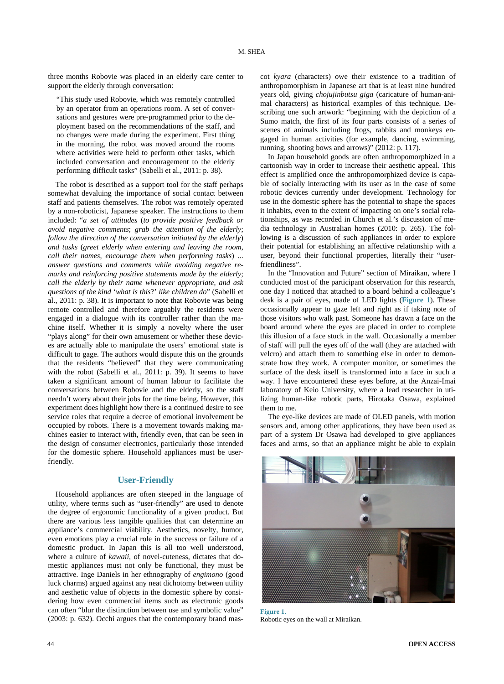three months Robovie was placed in an elderly care center to support the elderly through conversation:

"This study used Robovie, which was remotely controlled by an operator from an operations room. A set of conversations and gestures were pre-programmed prior to the deployment based on the recommendations of the staff, and no changes were made during the experiment. First thing in the morning, the robot was moved around the rooms where activities were held to perform other tasks, which included conversation and encouragement to the elderly performing difficult tasks" (Sabelli et al., 2011: p. 38).

The robot is described as a support tool for the staff perhaps somewhat devaluing the importance of social contact between staff and patients themselves. The robot was remotely operated by a non-roboticist, Japanese speaker. The instructions to them included: "*a set of attitudes* (*to provide positive feedback or avoid negative comments*; *grab the attention of the elderly*; *follow the direction of the conversation initiated by the elderly*) *and tasks* (*greet elderly when entering and leaving the room*, *call their names*, *encourage them when performing tasks*) ... *answer questions and comments while avoiding negative remarks and reinforcing positive statements made by the elderly*; *call the elderly by their name whenever appropriate*, *and ask questions of the kind* '*what is this*?' *like children do*" (Sabelli et al., 2011: p. 38). It is important to note that Robovie was being remote controlled and therefore arguably the residents were engaged in a dialogue with its controller rather than the machine itself. Whether it is simply a novelty where the user "plays along" for their own amusement or whether these devices are actually able to manipulate the users' emotional state is difficult to gage. The authors would dispute this on the grounds that the residents "believed" that they were communicating with the robot (Sabelli et al., 2011: p. 39). It seems to have taken a significant amount of human labour to facilitate the conversations between Robovie and the elderly, so the staff needn't worry about their jobs for the time being. However, this experiment does highlight how there is a continued desire to see service roles that require a decree of emotional involvement be occupied by robots. There is a movement towards making machines easier to interact with, friendly even, that can be seen in the design of consumer electronics, particularly those intended for the domestic sphere. Household appliances must be userfriendly.

#### **User-Friendly**

Household appliances are often steeped in the language of utility, where terms such as "user-friendly" are used to denote the degree of ergonomic functionality of a given product. But there are various less tangible qualities that can determine an appliance's commercial viability. Aesthetics, novelty, humor, even emotions play a crucial role in the success or failure of a domestic product. In Japan this is all too well understood, where a culture of *kawaii*, of novel-cuteness, dictates that domestic appliances must not only be functional, they must be attractive. Inge Daniels in her ethnography of *engimono* (good luck charms) argued against any neat dichotomy between utility and aesthetic value of objects in the domestic sphere by considering how even commercial items such as electronic goods can often "blur the distinction between use and symbolic value" (2003: p. 632). Occhi argues that the contemporary brand mascot *kyara* (characters) owe their existence to a tradition of anthropomorphism in Japanese art that is at least nine hundred years old, giving *chojujinbutsu giga* (caricature of human-animal characters) as historical examples of this technique. Describing one such artwork: "beginning with the depiction of a Sumo match, the first of its four parts consists of a series of scenes of animals including frogs, rabbits and monkeys engaged in human activities (for example, dancing, swimming, running, shooting bows and arrows)" (2012: p. 117).

In Japan household goods are often anthropomorphized in a cartoonish way in order to increase their aesthetic appeal. This effect is amplified once the anthropomorphized device is capable of socially interacting with its user as in the case of some robotic devices currently under development. Technology for use in the domestic sphere has the potential to shape the spaces it inhabits, even to the extent of impacting on one's social relationships, as was recorded in Church et al.'s discussion of media technology in Australian homes (2010: p. 265). The following is a discussion of such appliances in order to explore their potential for establishing an affective relationship with a user, beyond their functional properties, literally their "userfriendliness".

In the "Innovation and Future" section of Miraikan, where I conducted most of the participant observation for this research, one day I noticed that attached to a board behind a colleague's desk is a pair of eyes, made of LED lights (**[Figure](#page-3-0) 1**). These occasionally appear to gaze left and right as if taking note of those visitors who walk past. Someone has drawn a face on the board around where the eyes are placed in order to complete this illusion of a face stuck in the wall. Occasionally a member of staff will pull the eyes off of the wall (they are attached with velcro) and attach them to something else in order to demonstrate how they work. A computer monitor, or sometimes the surface of the desk itself is transformed into a face in such a way. I have encountered these eyes before, at the Anzai-Imai laboratory of Keio University, where a lead researcher in utilizing human-like robotic parts, Hirotaka Osawa, explained them to me.

The eye-like devices are made of OLED panels, with motion sensors and, among other applications, they have been used as part of a system Dr Osawa had developed to give appliances faces and arms, so that an appliance might be able to explain

<span id="page-3-0"></span>

**Figure 1.** Robotic eyes on the wall at Miraikan.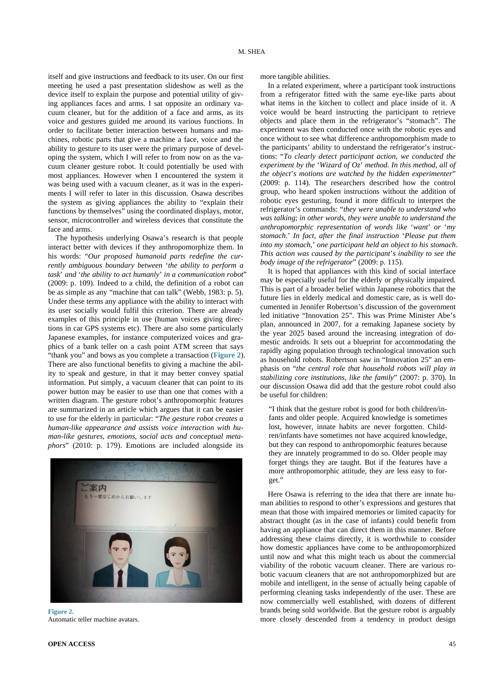itself and give instructions and feedback to its user. On our first meeting he used a past presentation slideshow as well as the device itself to explain the purpose and potential utility of giving appliances faces and arms. I sat opposite an ordinary vacuum cleaner, but for the addition of a face and arms, as its voice and gestures guided me around its various functions. In order to facilitate better interaction between humans and machines, robotic parts that give a machine a face, voice and the ability to gesture to its user were the primary purpose of developing the system, which I will refer to from now on as the vacuum cleaner gesture robot. It could potentially be used with most appliances. However when I encountered the system it was being used with a vacuum cleaner, as it was in the experiments I will refer to later in this discussion. Osawa describes the system as giving appliances the ability to "explain their functions by themselves" using the coordinated displays, motor, sensor, microcontroller and wireless devices that constitute the face and arms.

The hypothesis underlying Osawa's research is that people interact better with devices if they anthropomorphize them. In his words: "*Our proposed humanoid parts redefine the currently ambiguous boundary between* '*the ability to perform a task*' *and* '*the ability to act humanly*' *in a communication robot*" (2009: p. 109). Indeed to a child, the definition of a robot can be as simple as any "machine that can talk" (Webb, 1983: p. 5). Under these terms any appliance with the ability to interact with its user socially would fulfil this criterion. There are already examples of this principle in use (human voices giving directions in car GPS systems etc). There are also some particularly Japanese examples, for instance computerized voices and graphics of a bank teller on a cash point ATM screen that says "thank you" and bows as you complete a transaction (**[Figure 2](#page-4-0)**). There are also functional benefits to giving a machine the ability to speak and gesture, in that it may better convey spatial information. Put simply, a vacuum cleaner that can point to its power button may be easier to use than one that comes with a written diagram. The gesture robot's anthropomorphic features are summarized in an article which argues that it can be easier to use for the elderly in particular: "*The gesture robot creates a human-like appearance and assists voice interaction with human-like gestures*, *emotions*, *social acts and conceptual metaphors*" (2010: p. 179). Emotions are included alongside its

<span id="page-4-0"></span>

**Figure 2.** Automatic teller machine avatars.

more tangible abilities.

In a related experiment, where a participant took instructions from a refrigerator fitted with the same eye-like parts about what items in the kitchen to collect and place inside of it. A voice would be heard instructing the participant to retrieve objects and place them in the refrigerator's "stomach". The experiment was then conducted once with the robotic eyes and once without to see what difference anthropomorphism made to the participants' ability to understand the refrigerator's instructions: "*To clearly detect participant action*, *we conducted the experiment by the* '*Wizard of Oz*' *method*. *In this method*, *all of the object*'*s motions are watched by the hidden experimenter*" (2009: p. 114). The researchers described how the control group, who heard spoken instructions without the addition of robotic eyes gesturing, found it more difficult to interpret the refrigerator's commands: "*they were unable to understand who was talking*; *in other words*, *they were unable to understand the anthropomorphic representation of words like* '*want*' *or* '*my stomach*.' *In fact*, *after the final instruction* '*Please put them into my stomach*,' *one participant held an object to his stomach*. *This action was caused by the participant*'*s inability to see the body image of the refrigerator*" (2009: p. 115).

It is hoped that appliances with this kind of social interface may be especially useful for the elderly or physically impaired. This is part of a broader belief within Japanese robotics that the future lies in elderly medical and domestic care, as is well documented in Jennifer Robertson's discussion of the government led initiative "Innovation 25". This was Prime Minister Abe's plan, announced in 2007, for a remaking Japanese society by the year 2025 based around the increasing integration of domestic androids. It sets out a blueprint for accommodating the rapidly aging population through technological innovation such as household robots. Robertson saw in "Innovation 25" an emphasis on "*the central role that household robots will play in stabilizing core institutions, like the family*" (2007: p. 370). In our discussion Osawa did add that the gesture robot could also be useful for children:

"I think that the gesture robot is good for both children/infants and older people. Acquired knowledge is sometimes lost, however, innate habits are never forgotten. Children/infants have sometimes not have acquired knowledge, but they can respond to anthropomorphic features because they are innately programmed to do so. Older people may forget things they are taught. But if the features have a more anthropomorphic attitude, they are less easy to forget."

Here Osawa is referring to the idea that there are innate human abilities to respond to other's expressions and gestures that mean that those with impaired memories or limited capacity for abstract thought (as in the case of infants) could benefit from having an appliance that can direct them in this manner. Before addressing these claims directly, it is worthwhile to consider how domestic appliances have come to be anthropomorphized until now and what this might teach us about the commercial viability of the robotic vacuum cleaner. There are various robotic vacuum cleaners that are not anthropomorphized but are mobile and intelligent, in the sense of actually being capable of performing cleaning tasks independently of the user. These are now commercially well established, with dozens of different brands being sold worldwide. But the gesture robot is arguably more closely descended from a tendency in product design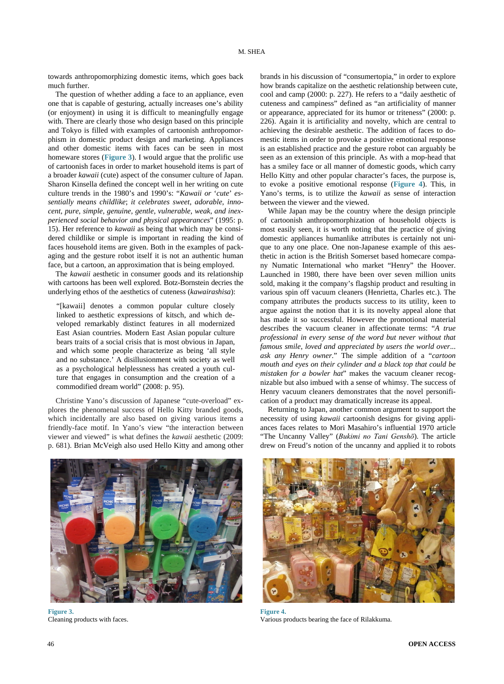towards anthropomorphizing domestic items, which goes back much further.

The question of whether adding a face to an appliance, even one that is capable of gesturing, actually increases one's ability (or enjoyment) in using it is difficult to meaningfully engage with. There are clearly those who design based on this principle and Tokyo is filled with examples of cartoonish anthropomorphism in domestic product design and marketing. Appliances and other domestic items with faces can be seen in most homeware stores (**[Figure 3](#page-5-0)**). I would argue that the prolific use of cartoonish faces in order to market household items is part of a broader *kawaii* (cute) aspect of the consumer culture of Japan. Sharon Kinsella defined the concept well in her writing on cute culture trends in the 1980's and 1990's: "*Kawaii or* '*cute*' *essentially means childlike*; *it celebrates sweet*, *adorable*, *innocent*, *pure*, *simple*, *genuine*, *gentle*, *vulnerable*, *weak*, *and inexperienced social behavior and physical appearances*" (1995: p. 15). Her reference to *kawaii* as being that which may be considered childlike or simple is important in reading the kind of faces household items are given. Both in the examples of packaging and the gesture robot itself it is not an authentic human face, but a cartoon, an approximation that is being employed.

The *kawaii* aesthetic in consumer goods and its relationship with cartoons has been well explored. Botz-Bornstein decries the underlying ethos of the aesthetics of cuteness (*kawairashisa*):

"[kawaii] denotes a common popular culture closely linked to aesthetic expressions of kitsch, and which developed remarkably distinct features in all modernized East Asian countries. Modern East Asian popular culture bears traits of a social crisis that is most obvious in Japan, and which some people characterize as being 'all style and no substance.' A disillusionment with society as well as a psychological helplessness has created a youth culture that engages in consumption and the creation of a commodified dream world" (2008: p. 95).

Christine Yano's discussion of Japanese "cute-overload" explores the phenomenal success of Hello Kitty branded goods, which incidentally are also based on giving various items a friendly-face motif. In Yano's view "the interaction between viewer and viewed" is what defines the *kawaii* aesthetic (2009: p. 681). Brian McVeigh also used Hello Kitty and among other

<span id="page-5-0"></span>

**Figure 3.** Cleaning products with faces.

brands in his discussion of "consumertopia," in order to explore how brands capitalize on the aesthetic relationship between cute, cool and camp (2000: p. 227). He refers to a "daily aesthetic of cuteness and campiness" defined as "an artificiality of manner or appearance, appreciated for its humor or triteness" (2000: p. 226). Again it is artificiality and novelty, which are central to achieving the desirable aesthetic. The addition of faces to domestic items in order to provoke a positive emotional response is an established practice and the gesture robot can arguably be seen as an extension of this principle. As with a mop-head that has a smiley face or all manner of domestic goods, which carry Hello Kitty and other popular character's faces, the purpose is, to evoke a positive emotional response (**[Figure](#page-5-1) 4**). This, in Yano's terms, is to utilize the *kawaii* as sense of interaction between the viewer and the viewed.

While Japan may be the country where the design principle of cartoonish anthropomorphization of household objects is most easily seen, it is worth noting that the practice of giving domestic appliances humanlike attributes is certainly not unique to any one place. One non-Japanese example of this aesthetic in action is the British Somerset based homecare company Numatic International who market "Henry" the Hoover. Launched in 1980, there have been over seven million units sold, making it the company's flagship product and resulting in various spin off vacuum cleaners (Henrietta, Charles etc.). The company attributes the products success to its utility, keen to argue against the notion that it is its novelty appeal alone that has made it so successful. However the promotional material describes the vacuum cleaner in affectionate terms: "*A true professional in every sense of the word but never without that famous smile*, *loved and appreciated by users the world over*... *ask any Henry owner*." The simple addition of a "*cartoon mouth and eyes on their cylinder and a black top that could be mistaken for a bowler hat*" makes the vacuum cleaner recognizable but also imbued with a sense of whimsy. The success of Henry vacuum cleaners demonstrates that the novel personification of a product may dramatically increase its appeal.

Returning to Japan, another common argument to support the necessity of using *kawaii* cartoonish designs for giving appliances faces relates to Mori Masahiro's influential 1970 article "The Uncanny Valley" (*Bukimi no Tani Genshō*). The article drew on Freud's notion of the uncanny and applied it to robots

<span id="page-5-1"></span>

**Figure 4.** Various products bearing the face of Rilakkuma.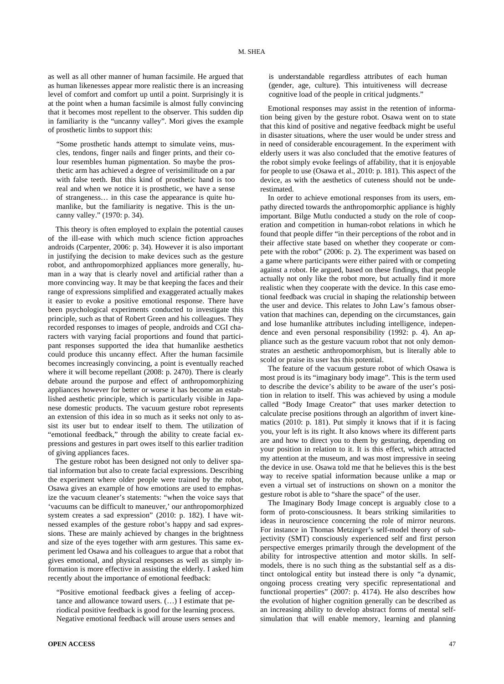as well as all other manner of human facsimile. He argued that as human likenesses appear more realistic there is an increasing level of comfort and comfort up until a point. Surprisingly it is at the point when a human facsimile is almost fully convincing that it becomes most repellent to the observer. This sudden dip in familiarity is the "uncanny valley". Mori gives the example of prosthetic limbs to support this:

"Some prosthetic hands attempt to simulate veins, muscles, tendons, finger nails and finger prints, and their colour resembles human pigmentation. So maybe the prosthetic arm has achieved a degree of verisimilitude on a par with false teeth. But this kind of prosthetic hand is too real and when we notice it is prosthetic, we have a sense of strangeness… in this case the appearance is quite humanlike, but the familiarity is negative. This is the uncanny valley." (1970: p. 34).

This theory is often employed to explain the potential causes of the ill-ease with which much science fiction approaches androids (Carpenter, 2006: p. 34). However it is also important in justifying the decision to make devices such as the gesture robot, and anthropomorphized appliances more generally, human in a way that is clearly novel and artificial rather than a more convincing way. It may be that keeping the faces and their range of expressions simplified and exaggerated actually makes it easier to evoke a positive emotional response. There have been psychological experiments conducted to investigate this principle, such as that of Robert Green and his colleagues. They recorded responses to images of people, androids and CGI characters with varying facial proportions and found that participant responses supported the idea that humanlike aesthetics could produce this uncanny effect. After the human facsimile becomes increasingly convincing, a point is eventually reached where it will become repellant (2008: p. 2470). There is clearly debate around the purpose and effect of anthropomorphizing appliances however for better or worse it has become an established aesthetic principle, which is particularly visible in Japanese domestic products. The vacuum gesture robot represents an extension of this idea in so much as it seeks not only to assist its user but to endear itself to them. The utilization of "emotional feedback," through the ability to create facial expressions and gestures in part owes itself to this earlier tradition of giving appliances faces.

The gesture robot has been designed not only to deliver spatial information but also to create facial expressions. Describing the experiment where older people were trained by the robot, Osawa gives an example of how emotions are used to emphasize the vacuum cleaner's statements: "when the voice says that 'vacuums can be difficult to maneuver,' our anthropomorphized system creates a sad expression" (2010: p. 182). I have witnessed examples of the gesture robot's happy and sad expressions. These are mainly achieved by changes in the brightness and size of the eyes together with arm gestures. This same experiment led Osawa and his colleagues to argue that a robot that gives emotional, and physical responses as well as simply information is more effective in assisting the elderly. I asked him recently about the importance of emotional feedback:

"Positive emotional feedback gives a feeling of acceptance and allowance toward users. (…) I estimate that periodical positive feedback is good for the learning process. Negative emotional feedback will arouse users senses and is understandable regardless attributes of each human (gender, age, culture). This intuitiveness will decrease cognitive load of the people in critical judgments."

Emotional responses may assist in the retention of information being given by the gesture robot. Osawa went on to state that this kind of positive and negative feedback might be useful in disaster situations, where the user would be under stress and in need of considerable encouragement. In the experiment with elderly users it was also concluded that the emotive features of the robot simply evoke feelings of affability, that it is enjoyable for people to use (Osawa et al., 2010: p. 181). This aspect of the device, as with the aesthetics of cuteness should not be underestimated.

In order to achieve emotional responses from its users, empathy directed towards the anthropomorphic appliance is highly important. Bilge Mutlu conducted a study on the role of cooperation and competition in human-robot relations in which he found that people differ "in their perceptions of the robot and in their affective state based on whether they cooperate or compete with the robot" (2006: p. 2). The experiment was based on a game where participants were either paired with or competing against a robot. He argued, based on these findings, that people actually not only like the robot more, but actually find it more realistic when they cooperate with the device. In this case emotional feedback was crucial in shaping the relationship between the user and device. This relates to John Law's famous observation that machines can, depending on the circumstances, gain and lose humanlike attributes including intelligence, independence and even personal responsibility (1992: p. 4). An appliance such as the gesture vacuum robot that not only demonstrates an aesthetic anthropomorphism, but is literally able to scold or praise its user has this potential.

The feature of the vacuum gesture robot of which Osawa is most proud is its "imaginary body image". This is the term used to describe the device's ability to be aware of the user's position in relation to itself. This was achieved by using a module called "Body Image Creator" that uses marker detection to calculate precise positions through an algorithm of invert kinematics (2010: p. 181). Put simply it knows that if it is facing you, your left is its right. It also knows where its different parts are and how to direct you to them by gesturing, depending on your position in relation to it. It is this effect, which attracted my attention at the museum, and was most impressive in seeing the device in use. Osawa told me that he believes this is the best way to receive spatial information because unlike a map or even a virtual set of instructions on shown on a monitor the gesture robot is able to "share the space" of the user.

The Imaginary Body Image concept is arguably close to a form of proto-consciousness. It bears striking similarities to ideas in neuroscience concerning the role of mirror neurons. For instance in Thomas Metzinger's self-model theory of subjectivity (SMT) consciously experienced self and first person perspective emerges primarily through the development of the ability for introspective attention and motor skills. In selfmodels, there is no such thing as the substantial self as a distinct ontological entity but instead there is only "a dynamic, ongoing process creating very specific representational and functional properties" (2007: p. 4174). He also describes how the evolution of higher cognition generally can be described as an increasing ability to develop abstract forms of mental selfsimulation that will enable memory, learning and planning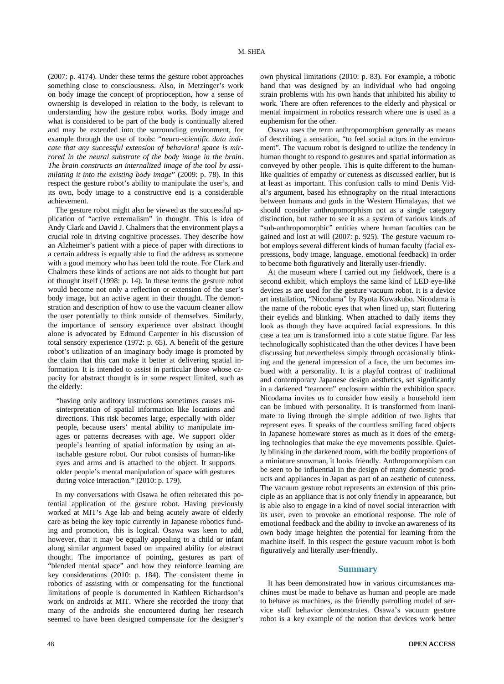(2007: p. 4174). Under these terms the gesture robot approaches something close to consciousness. Also, in Metzinger's work on body image the concept of proprioception, how a sense of ownership is developed in relation to the body, is relevant to understanding how the gesture robot works. Body image and what is considered to be part of the body is continually altered and may be extended into the surrounding environment, for example through the use of tools: "*neuro-scientific data indicate that any successful extension of behavioral space is mirrored in the neural substrate of the body image in the brain*. *The brain constructs an internalized image of the tool by assimilating it into the existing body image*" (2009: p. 78). In this respect the gesture robot's ability to manipulate the user's, and its own, body image to a constructive end is a considerable achievement.

The gesture robot might also be viewed as the successful application of "active externalism" in thought. This is idea of Andy Clark and David J. Chalmers that the environment plays a crucial role in driving cognitive processes. They describe how an Alzheimer's patient with a piece of paper with directions to a certain address is equally able to find the address as someone with a good memory who has been told the route. For Clark and Chalmers these kinds of actions are not aids to thought but part of thought itself (1998: p. 14). In these terms the gesture robot would become not only a reflection or extension of the user's body image, but an active agent in their thought. The demonstration and description of how to use the vacuum cleaner allow the user potentially to think outside of themselves. Similarly, the importance of sensory experience over abstract thought alone is advocated by Edmund Carpenter in his discussion of total sensory experience (1972: p. 65). A benefit of the gesture robot's utilization of an imaginary body image is promoted by the claim that this can make it better at delivering spatial information. It is intended to assist in particular those whose capacity for abstract thought is in some respect limited, such as the elderly:

"having only auditory instructions sometimes causes misinterpretation of spatial information like locations and directions. This risk becomes large, especially with older people, because users' mental ability to manipulate images or patterns decreases with age. We support older people's learning of spatial information by using an attachable gesture robot. Our robot consists of human-like eyes and arms and is attached to the object. It supports older people's mental manipulation of space with gestures during voice interaction." (2010: p. 179).

In my conversations with Osawa he often reiterated this potential application of the gesture robot. Having previously worked at MIT's Age lab and being acutely aware of elderly care as being the key topic currently in Japanese robotics funding and promotion, this is logical. Osawa was keen to add, however, that it may be equally appealing to a child or infant along similar argument based on impaired ability for abstract thought. The importance of pointing, gestures as part of "blended mental space" and how they reinforce learning are key considerations (2010: p. 184). The consistent theme in robotics of assisting with or compensating for the functional limitations of people is documented in Kathleen Richardson's work on androids at MIT. Where she recorded the irony that many of the androids she encountered during her research seemed to have been designed compensate for the designer's own physical limitations (2010: p. 83). For example, a robotic hand that was designed by an individual who had ongoing strain problems with his own hands that inhibited his ability to work. There are often references to the elderly and physical or mental impairment in robotics research where one is used as a euphemism for the other.

Osawa uses the term anthropomorphism generally as means of describing a sensation, "to feel social actors in the environment". The vacuum robot is designed to utilize the tendency in human thought to respond to gestures and spatial information as conveyed by other people. This is quite different to the humanlike qualities of empathy or cuteness as discussed earlier, but is at least as important. This confusion calls to mind Denis Vidal's argument, based his ethnography on the ritual interactions between humans and gods in the Western Himalayas, that we should consider anthropomorphism not as a single category distinction, but rather to see it as a system of various kinds of "sub-anthropomorphic" entities where human faculties can be gained and lost at will (2007: p. 925). The gesture vacuum robot employs several different kinds of human faculty (facial expressions, body image, language, emotional feedback) in order to become both figuratively and literally user-friendly.

At the museum where I carried out my fieldwork, there is a second exhibit, which employs the same kind of LED eye-like devices as are used for the gesture vacuum robot. It is a device art installation, "Nicodama" by Ryota Kuwakubo. Nicodama is the name of the robotic eyes that when lined up, start fluttering their eyelids and blinking. When attached to daily items they look as though they have acquired facial expressions. In this case a tea urn is transformed into a cute statue figure. Far less technologically sophisticated than the other devices I have been discussing but nevertheless simply through occasionally blinking and the general impression of a face, the urn becomes imbued with a personality. It is a playful contrast of traditional and contemporary Japanese design aesthetics, set significantly in a darkened "tearoom" enclosure within the exhibition space. Nicodama invites us to consider how easily a household item can be imbued with personality. It is transformed from inanimate to living through the simple addition of two lights that represent eyes. It speaks of the countless smiling faced objects in Japanese homeware stores as much as it does of the emerging technologies that make the eye movements possible. Quietly blinking in the darkened room, with the bodily proportions of a miniature snowman, it looks friendly. Anthropomorphism can be seen to be influential in the design of many domestic products and appliances in Japan as part of an aesthetic of cuteness. The vacuum gesture robot represents an extension of this principle as an appliance that is not only friendly in appearance, but is able also to engage in a kind of novel social interaction with its user, even to provoke an emotional response. The role of emotional feedback and the ability to invoke an awareness of its own body image heighten the potential for learning from the machine itself. In this respect the gesture vacuum robot is both figuratively and literally user-friendly.

#### **Summary**

It has been demonstrated how in various circumstances machines must be made to behave as human and people are made to behave as machines, as the friendly patrolling model of service staff behavior demonstrates. Osawa's vacuum gesture robot is a key example of the notion that devices work better